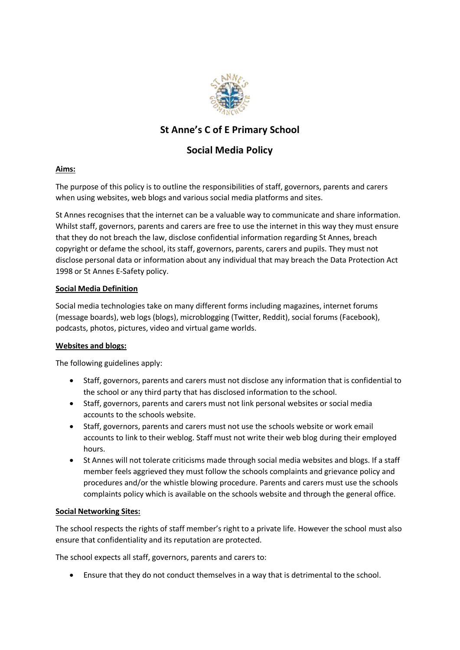

## **St Anne's C of E Primary School**

# **Social Media Policy**

### **Aims:**

The purpose of this policy is to outline the responsibilities of staff, governors, parents and carers when using websites, web blogs and various social media platforms and sites.

St Annes recognises that the internet can be a valuable way to communicate and share information. Whilst staff, governors, parents and carers are free to use the internet in this way they must ensure that they do not breach the law, disclose confidential information regarding St Annes, breach copyright or defame the school, its staff, governors, parents, carers and pupils. They must not disclose personal data or information about any individual that may breach the Data Protection Act 1998 or St Annes E-Safety policy.

### **Social Media Definition**

Social media technologies take on many different forms including magazines, internet forums (message boards), web logs (blogs), microblogging (Twitter, Reddit), social forums (Facebook), podcasts, photos, pictures, video and virtual game worlds.

### **Websites and blogs:**

The following guidelines apply:

- Staff, governors, parents and carers must not disclose any information that is confidential to the school or any third party that has disclosed information to the school.
- Staff, governors, parents and carers must not link personal websites or social media accounts to the schools website.
- Staff, governors, parents and carers must not use the schools website or work email accounts to link to their weblog. Staff must not write their web blog during their employed hours.
- St Annes will not tolerate criticisms made through social media websites and blogs. If a staff member feels aggrieved they must follow the schools complaints and grievance policy and procedures and/or the whistle blowing procedure. Parents and carers must use the schools complaints policy which is available on the schools website and through the general office.

### **Social Networking Sites:**

The school respects the rights of staff member's right to a private life. However the school must also ensure that confidentiality and its reputation are protected.

The school expects all staff, governors, parents and carers to:

Ensure that they do not conduct themselves in a way that is detrimental to the school.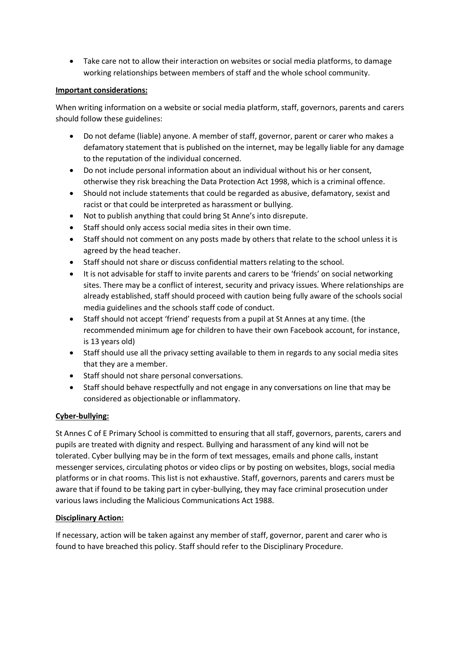Take care not to allow their interaction on websites or social media platforms, to damage working relationships between members of staff and the whole school community.

#### **Important considerations:**

When writing information on a website or social media platform, staff, governors, parents and carers should follow these guidelines:

- Do not defame (liable) anyone. A member of staff, governor, parent or carer who makes a defamatory statement that is published on the internet, may be legally liable for any damage to the reputation of the individual concerned.
- Do not include personal information about an individual without his or her consent, otherwise they risk breaching the Data Protection Act 1998, which is a criminal offence.
- Should not include statements that could be regarded as abusive, defamatory, sexist and racist or that could be interpreted as harassment or bullying.
- Not to publish anything that could bring St Anne's into disrepute.
- Staff should only access social media sites in their own time.
- Staff should not comment on any posts made by others that relate to the school unless it is agreed by the head teacher.
- Staff should not share or discuss confidential matters relating to the school.
- It is not advisable for staff to invite parents and carers to be 'friends' on social networking sites. There may be a conflict of interest, security and privacy issues. Where relationships are already established, staff should proceed with caution being fully aware of the schools social media guidelines and the schools staff code of conduct.
- Staff should not accept 'friend' requests from a pupil at St Annes at any time. (the recommended minimum age for children to have their own Facebook account, for instance, is 13 years old)
- Staff should use all the privacy setting available to them in regards to any social media sites that they are a member.
- Staff should not share personal conversations.
- Staff should behave respectfully and not engage in any conversations on line that may be considered as objectionable or inflammatory.

### **Cyber-bullying:**

St Annes C of E Primary School is committed to ensuring that all staff, governors, parents, carers and pupils are treated with dignity and respect. Bullying and harassment of any kind will not be tolerated. Cyber bullying may be in the form of text messages, emails and phone calls, instant messenger services, circulating photos or video clips or by posting on websites, blogs, social media platforms or in chat rooms. This list is not exhaustive. Staff, governors, parents and carers must be aware that if found to be taking part in cyber-bullying, they may face criminal prosecution under various laws including the Malicious Communications Act 1988.

### **Disciplinary Action:**

If necessary, action will be taken against any member of staff, governor, parent and carer who is found to have breached this policy. Staff should refer to the Disciplinary Procedure.